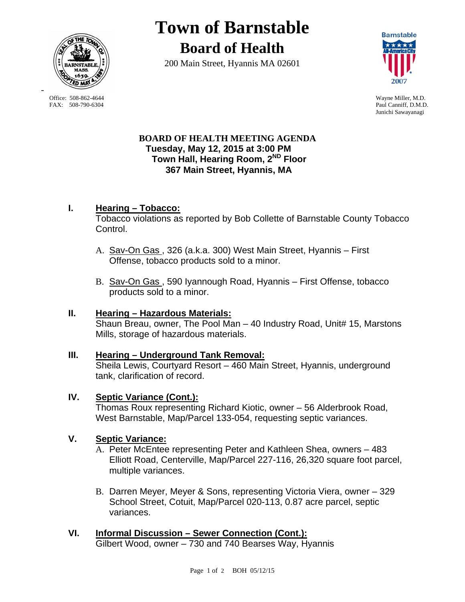

-

**Town of Barnstable Board of Health**

200 Main Street, Hyannis MA 02601



Office: 508-862-4644 Wayne Miller, M.D.<br>
FAX: 508-790-6304 Paul Canniff. D.M.D Paul Canniff, D.M.D. Junichi Sawayanagi

# **BOARD OF HEALTH MEETING AGENDA Tuesday, May 12, 2015 at 3:00 PM Town Hall, Hearing Room, 2ND Floor 367 Main Street, Hyannis, MA**

# **I. Hearing – Tobacco:**

Tobacco violations as reported by Bob Collette of Barnstable County Tobacco Control.

- A. Sav-On Gas , 326 (a.k.a. 300) West Main Street, Hyannis First Offense, tobacco products sold to a minor.
- B. Sav-On Gas , 590 Iyannough Road, Hyannis First Offense, tobacco products sold to a minor.

# **II. Hearing – Hazardous Materials:**

Shaun Breau, owner, The Pool Man – 40 Industry Road, Unit# 15, Marstons Mills, storage of hazardous materials.

# **III. Hearing – Underground Tank Removal:**

Sheila Lewis, Courtyard Resort – 460 Main Street, Hyannis, underground tank, clarification of record.

# **IV. Septic Variance (Cont.):**

Thomas Roux representing Richard Kiotic, owner – 56 Alderbrook Road, West Barnstable, Map/Parcel 133-054, requesting septic variances.

# **V. Septic Variance:**

A. Peter McEntee representing Peter and Kathleen Shea, owners – 483 Elliott Road, Centerville, Map/Parcel 227-116, 26,320 square foot parcel, multiple variances.

B. Darren Meyer, Meyer & Sons, representing Victoria Viera, owner – 329 School Street, Cotuit, Map/Parcel 020-113, 0.87 acre parcel, septic variances.

# **VI. Informal Discussion – Sewer Connection (Cont.):**  Gilbert Wood, owner – 730 and 740 Bearses Way, Hyannis